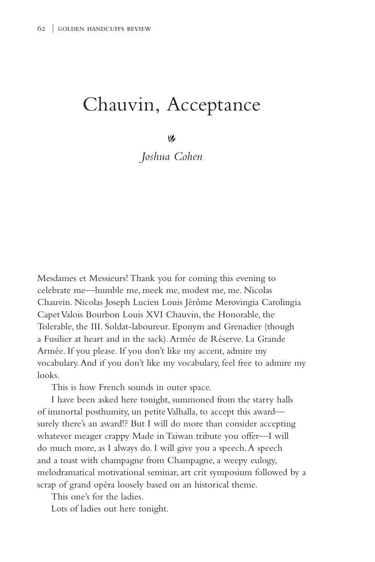## Chauvin, Acceptance

 $\vee$ 

*Joshua Cohen*

Mesdames et Messieurs! Thank you for coming this evening to celebrate me—humble me, meek me, modest me, me. Nicolas Chauvin. Nicolas Joseph Lucien Louis Jérôme Merovingia Carolingia Capet Valois Bourbon Louis XVI Chauvin, the Honorable, the Tolerable, the III. Soldat-laboureur. Eponym and Grenadier (though a Fusilier at heart and in the sack). Armée de Réserve. La Grande Armée. If you please. If you don't like my accent, admire my vocabulary. And if you don't like my vocabulary, feel free to admire my looks.

This is how French sounds in outer space.

I have been asked here tonight, summoned from the starry halls of immortal posthumity, un petite Valhalla, to accept this award surely there's an award!? But I will do more than consider accepting whatever meager crappy Made in Taiwan tribute you offer—I will do much more, as I always do. I will give you a speech. A speech and a toast with champagne from Champagne, a weepy eulogy, melodramatical motivational seminar, art crit symposium followed by a scrap of grand opéra loosely based on an historical theme.

This one's for the ladies.

Lots of ladies out here tonight.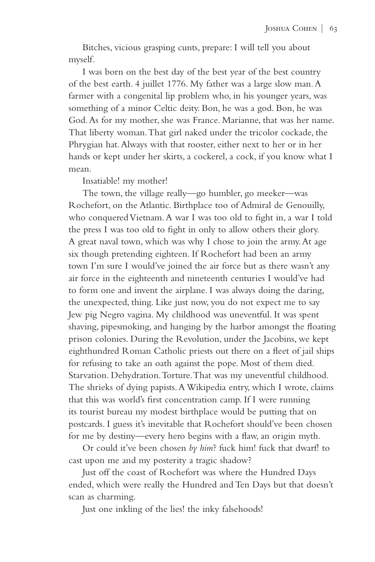Bitches, vicious grasping cunts, prepare: I will tell you about myself.

I was born on the best day of the best year of the best country of the best earth. 4 juillet 1776. My father was a large slow man. A farmer with a congenital lip problem who, in his younger years, was something of a minor Celtic deity. Bon, he was a god. Bon, he was God. As for my mother, she was France. Marianne, that was her name. That liberty woman. That girl naked under the tricolor cockade, the Phrygian hat. Always with that rooster, either next to her or in her hands or kept under her skirts, a cockerel, a cock, if you know what I mean.

Insatiable! my mother!

The town, the village really—go humbler, go meeker—was Rochefort, on the Atlantic. Birthplace too of Admiral de Genouilly, who conqueredVietnam. A war I was too old to fight in, a war I told the press I was too old to fight in only to allow others their glory. A great naval town, which was why I chose to join the army. At age six though pretending eighteen. If Rochefort had been an army town I'm sure I would've joined the air force but as there wasn't any air force in the eighteenth and nineteenth centuries I would've had to form one and invent the airplane. I was always doing the daring, the unexpected, thing. Like just now, you do not expect me to say Jew pig Negro vagina. My childhood was uneventful. It was spent shaving, pipesmoking, and hanging by the harbor amongst the floating prison colonies. During the Revolution, under the Jacobins, we kept eighthundred Roman Catholic priests out there on a fleet of jail ships for refusing to take an oath against the pope. Most of them died. Starvation. Dehydration. Torture. That was my uneventful childhood. The shrieks of dying papists. A Wikipedia entry, which I wrote, claims that this was world's first concentration camp. If I were running its tourist bureau my modest birthplace would be putting that on postcards. I guess it's inevitable that Rochefort should've been chosen for me by destiny—every hero begins with a flaw, an origin myth.

Or could it've been chosen *by him*? fuck him! fuck that dwarf! to cast upon me and my posterity a tragic shadow?

Just off the coast of Rochefort was where the Hundred Days ended, which were really the Hundred and Ten Days but that doesn't scan as charming.

Just one inkling of the lies! the inky falsehoods!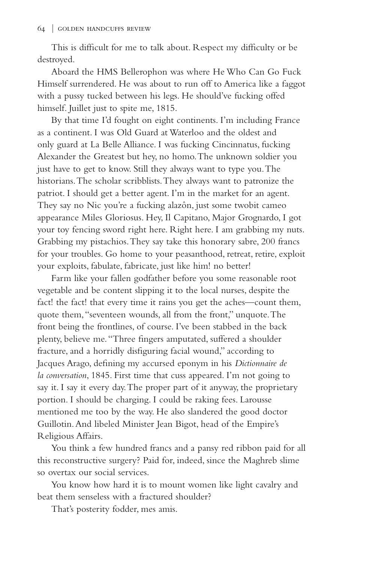This is difficult for me to talk about. Respect my difficulty or be destroyed.

Aboard the HMS Bellerophon was where He Who Can Go Fuck Himself surrendered. He was about to run off to America like a faggot with a pussy tucked between his legs. He should've fucking offed himself. Juillet just to spite me, 1815.

By that time I'd fought on eight continents. I'm including France as a continent. I was Old Guard at Waterloo and the oldest and only guard at La Belle Alliance. I was fucking Cincinnatus, fucking Alexander the Greatest but hey, no homo. The unknown soldier you just have to get to know. Still they always want to type you. The historians. The scholar scribblists. They always want to patronize the patriot. I should get a better agent. I'm in the market for an agent. They say no Nic you're a fucking alazôn, just some twobit cameo appearance Miles Gloriosus. Hey, Il Capitano, Major Grognardo, I got your toy fencing sword right here. Right here. I am grabbing my nuts. Grabbing my pistachios. They say take this honorary sabre, 200 francs for your troubles. Go home to your peasanthood, retreat, retire, exploit your exploits, fabulate, fabricate, just like him! no better!

Farm like your fallen godfather before you some reasonable root vegetable and be content slipping it to the local nurses, despite the fact! the fact! that every time it rains you get the aches—count them, quote them, "seventeen wounds, all from the front," unquote. The front being the frontlines, of course. I've been stabbed in the back plenty, believe me. "Three fingers amputated, suffered a shoulder fracture, and a horridly disfiguring facial wound," according to Jacques Arago, defining my accursed eponym in his *Dictionnaire de la conversation*, 1845. First time that cuss appeared. I'm not going to say it. I say it every day. The proper part of it anyway, the proprietary portion. I should be charging. I could be raking fees. Larousse mentioned me too by the way. He also slandered the good doctor Guillotin. And libeled Minister Jean Bigot, head of the Empire's Religious Affairs.

You think a few hundred francs and a pansy red ribbon paid for all this reconstructive surgery? Paid for, indeed, since the Maghreb slime so overtax our social services.

You know how hard it is to mount women like light cavalry and beat them senseless with a fractured shoulder?

That's posterity fodder, mes amis.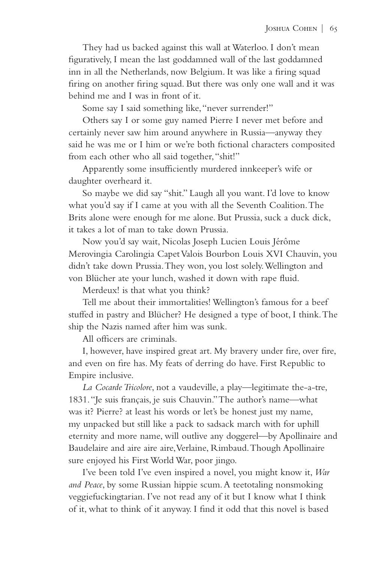They had us backed against this wall at Waterloo. I don't mean figuratively, I mean the last goddamned wall of the last goddamned inn in all the Netherlands, now Belgium. It was like a firing squad firing on another firing squad. But there was only one wall and it was behind me and I was in front of it.

Some say I said something like, "never surrender!"

Others say I or some guy named Pierre I never met before and certainly never saw him around anywhere in Russia—anyway they said he was me or I him or we're both fictional characters composited from each other who all said together, "shit!"

Apparently some insufficiently murdered innkeeper's wife or daughter overheard it.

So maybe we did say "shit." Laugh all you want. I'd love to know what you'd say if I came at you with all the Seventh Coalition. The Brits alone were enough for me alone. But Prussia, suck a duck dick, it takes a lot of man to take down Prussia.

Now you'd say wait, Nicolas Joseph Lucien Louis Jérôme Merovingia Carolingia Capet Valois Bourbon Louis XVI Chauvin, you didn't take down Prussia. They won, you lost solely. Wellington and von Blücher ate your lunch, washed it down with rape fluid.

Merdeux! is that what you think?

Tell me about their immortalities! Wellington's famous for a beef stuffed in pastry and Blücher? He designed a type of boot, I think. The ship the Nazis named after him was sunk.

All officers are criminals.

I, however, have inspired great art. My bravery under fire, over fire, and even on fire has. My feats of derring do have. First Republic to Empire inclusive.

*La Cocarde Tricolore*, not a vaudeville, a play—legitimate the-a-tre, 1831. "Je suis français, je suis Chauvin." The author's name—what was it? Pierre? at least his words or let's be honest just my name, my unpacked but still like a pack to sadsack march with for uphill eternity and more name, will outlive any doggerel—by Apollinaire and Baudelaire and aire aire aire, Verlaine, Rimbaud. Though Apollinaire sure enjoyed his First World War, poor jingo.

I've been told I've even inspired a novel, you might know it, *War and Peace*, by some Russian hippie scum. A teetotaling nonsmoking veggiefuckingtarian. I've not read any of it but I know what I think of it, what to think of it anyway. I find it odd that this novel is based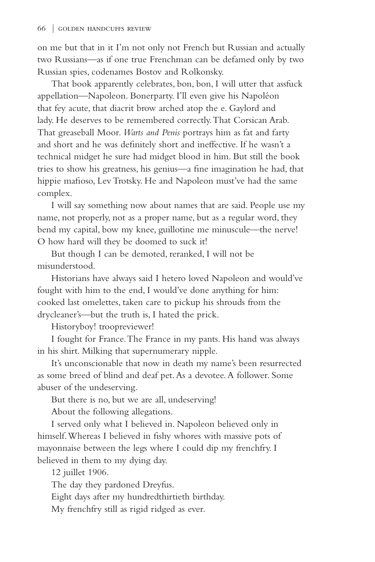on me but that in it I'm not only not French but Russian and actually two Russians—as if one true Frenchman can be defamed only by two Russian spies, codenames Bostov and Rolkonsky.

That book apparently celebrates, bon, bon, I will utter that assfuck appellation—Napoleon. Bonerparty. I'll even give his Napoléon that fey acute, that diacrit brow arched atop the e. Gaylord and lady. He deserves to be remembered correctly. That Corsican Arab. That greaseball Moor. *Warts and Penis* portrays him as fat and farty and short and he was definitely short and ineffective. If he wasn't a technical midget he sure had midget blood in him. But still the book tries to show his greatness, his genius—a fine imagination he had, that hippie mafioso, Lev Trotsky. He and Napoleon must've had the same complex.

I will say something now about names that are said. People use my name, not properly, not as a proper name, but as a regular word, they bend my capital, bow my knee, guillotine me minuscule—the nerve! O how hard will they be doomed to suck it!

But though I can be demoted, reranked, I will not be misunderstood.

Historians have always said I hetero loved Napoleon and would've fought with him to the end, I would've done anything for him: cooked last omelettes, taken care to pickup his shrouds from the drycleaner's—but the truth is, I hated the prick.

Historyboy! troopreviewer!

I fought for France. The France in my pants. His hand was always in his shirt. Milking that supernumerary nipple.

It's unconscionable that now in death my name's been resurrected as some breed of blind and deaf pet. As a devotee. A follower. Some abuser of the undeserving.

But there is no, but we are all, undeserving!

About the following allegations.

I served only what I believed in. Napoleon believed only in himself. Whereas I believed in fishy whores with massive pots of mayonnaise between the legs where I could dip my frenchfry. I believed in them to my dying day.

12 juillet 1906.

The day they pardoned Dreyfus.

Eight days after my hundredthirtieth birthday.

My frenchfry still as rigid ridged as ever.